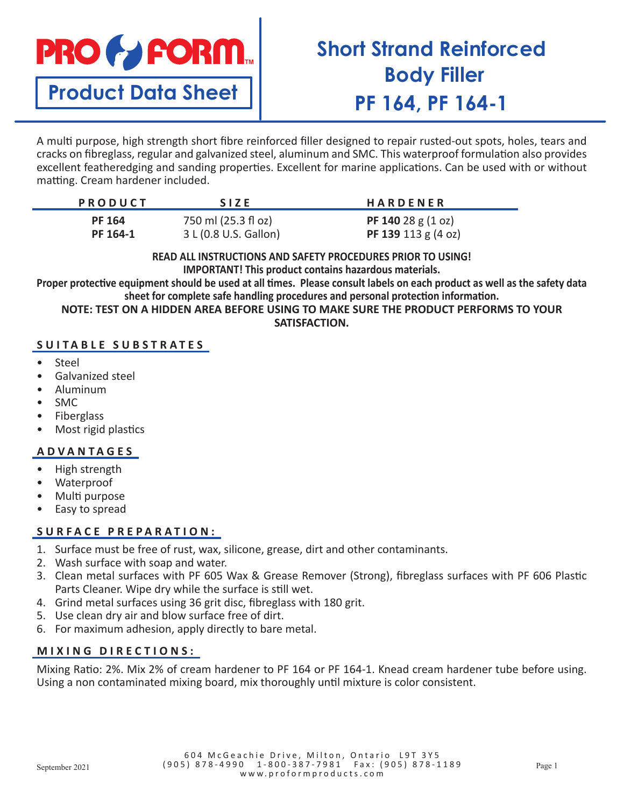

**Product Data Sheet**

# **Short Strand Reinforced Body Filler PF 164, PF 164-1**

A multi purpose, high strength short fibre reinforced filler designed to repair rusted-out spots, holes, tears and cracks on fibreglass, regular and galvanized steel, aluminum and SMC. This waterproof formulation also provides excellent featheredging and sanding properties. Excellent for marine applications. Can be used with or without matting. Cream hardener included.

| <b>PRODUCT</b> | <b>SIZE</b>           | <b>HARDENER</b>                     |
|----------------|-----------------------|-------------------------------------|
| <b>PF 164</b>  | 750 ml (25.3 fl oz)   | <b>PF 140</b> 28 g $(1 \text{ oz})$ |
| PF 164-1       | 3 L (0.8 U.S. Gallon) | PF 139 113 $g$ (4 oz)               |

**READ ALL INSTRUCTIONS AND SAFETY PROCEDURES PRIOR TO USING! IMPORTANT! This product contains hazardous materials.**

**Proper protective equipment should be used at all times. Please consult labels on each product as well as the safety data sheet for complete safe handling procedures and personal protection information.**

**NOTE: TEST ON A HIDDEN AREA BEFORE USING TO MAKE SURE THE PRODUCT PERFORMS TO YOUR SATISFACTION.**

### **SUITABLE SUBSTRATES**

- Steel
- Galvanized steel
- Aluminum
- SMC
- **Fiberglass**
- Most rigid plastics

#### **ADVANTAGES**

- High strength
- Waterproof
- Multi purpose
- Easy to spread

#### **SURFACE PREPARATION:**

- 1. Surface must be free of rust, wax, silicone, grease, dirt and other contaminants.
- 2. Wash surface with soap and water.
- 3. Clean metal surfaces with PF 605 Wax & Grease Remover (Strong), fibreglass surfaces with PF 606 Plastic Parts Cleaner. Wipe dry while the surface is still wet.
- 4. Grind metal surfaces using 36 grit disc, fibreglass with 180 grit.
- 5. Use clean dry air and blow surface free of dirt.
- 6. For maximum adhesion, apply directly to bare metal.

#### **MIXING DIRECTIONS:**

Mixing Ratio: 2%. Mix 2% of cream hardener to PF 164 or PF 164-1. Knead cream hardener tube before using. Using a non contaminated mixing board, mix thoroughly until mixture is color consistent.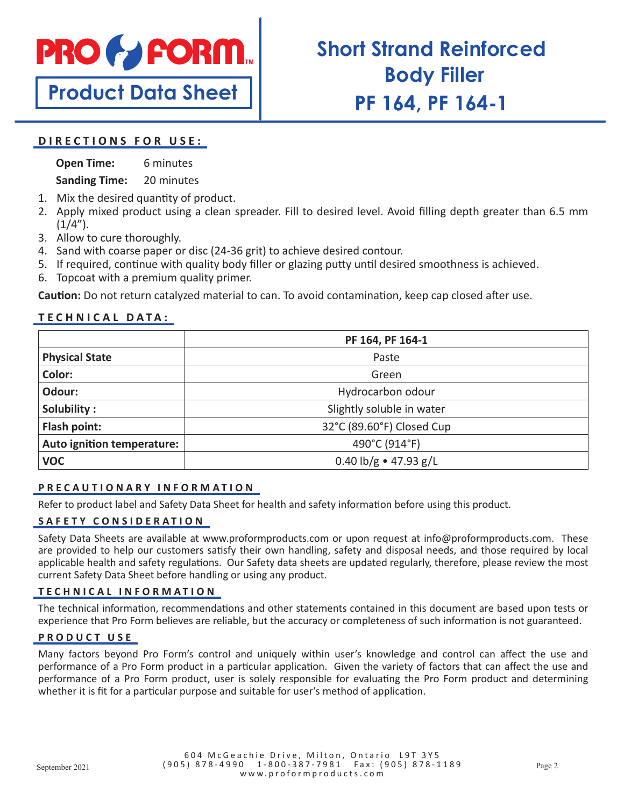

**Product Data Sheet**

# **Short Strand Reinforced Body Filler PF 164, PF 164-1**

#### **DIRECTIONS FOR USE:**

**Open Time:** 6 minutes

**Sanding Time:** 20 minutes

- 1. Mix the desired quantity of product.
- 2. Apply mixed product using a clean spreader. Fill to desired level. Avoid filling depth greater than 6.5 mm  $(1/4'')$ .
- 3. Allow to cure thoroughly.
- 4. Sand with coarse paper or disc (24-36 grit) to achieve desired contour.
- 5. If required, continue with quality body filler or glazing putty until desired smoothness is achieved.
- 6. Topcoat with a premium quality primer.

**Caution:** Do not return catalyzed material to can. To avoid contamination, keep cap closed after use.

## **TECHNICAL DATA:**

|                            | PF 164, PF 164-1               |  |
|----------------------------|--------------------------------|--|
| <b>Physical State</b>      | Paste                          |  |
| Color:                     | Green                          |  |
| Odour:                     | Hydrocarbon odour              |  |
| Solubility:                | Slightly soluble in water      |  |
| Flash point:               | 32°C (89.60°F) Closed Cup      |  |
| Auto ignition temperature: | 490°C (914°F)                  |  |
| <b>VOC</b>                 | 0.40 $\frac{1}{2}$ + 47.93 g/L |  |

#### **PRECAUTIONARY INFORMATION**

Refer to product label and Safety Data Sheet for health and safety information before using this product.

### **SAFETY CONSIDERATION**

Safety Data Sheets are available at www.proformproducts.com or upon request at info@proformproducts.com. These are provided to help our customers satisfy their own handling, safety and disposal needs, and those required by local applicable health and safety regulations. Our Safety data sheets are updated regularly, therefore, please review the most current Safety Data Sheet before handling or using any product.

#### **TECHNICAL INFORMATION**

The technical information, recommendations and other statements contained in this document are based upon tests or experience that Pro Form believes are reliable, but the accuracy or completeness of such information is not guaranteed.

#### **PRODUCT USE**

Many factors beyond Pro Form's control and uniquely within user's knowledge and control can affect the use and performance of a Pro Form product in a particular application. Given the variety of factors that can affect the use and performance of a Pro Form product, user is solely responsible for evaluating the Pro Form product and determining whether it is fit for a particular purpose and suitable for user's method of application.